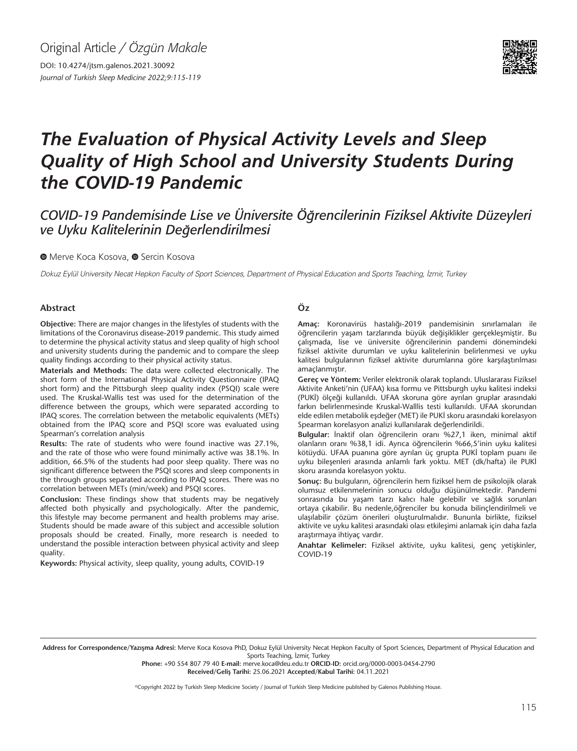Original Article */ Özgün Makale*

DOI: 10.4274/jtsm.galenos.2021.30092 *Journal of Turkish Sleep Medicine 2022;9:115-119*



# *The Evaluation of Physical Activity Levels and Sleep Quality of High School and University Students During the COVID-19 Pandemic*

# *COVID-19 Pandemisinde Lise ve Üniversite Öğrencilerinin Fiziksel Aktivite Düzeyleri ve Uyku Kalitelerinin Değerlendirilmesi*

**MerveKoca Kosova, @ Sercin Kosova** 

Dokuz Eylül University Necat Hepkon Faculty of Sport Sciences, Department of Physical Education and Sports Teaching, İzmir, Turkey

#### **Abstract**

**Objective:** There are major changes in the lifestyles of students with the limitations of the Coronavirus disease-2019 pandemic. This study aimed to determine the physical activity status and sleep quality of high school and university students during the pandemic and to compare the sleep quality findings according to their physical activity status.

**Materials and Methods:** The data were collected electronically. The short form of the International Physical Activity Questionnaire (IPAQ short form) and the Pittsburgh sleep quality index (PSQI) scale were used. The Kruskal-Wallis test was used for the determination of the difference between the groups, which were separated according to IPAQ scores. The correlation between the metabolic equivalents (METs) obtained from the IPAQ score and PSQI score was evaluated using Spearman's correlation analysis

**Results:** The rate of students who were found inactive was 27.1%, and the rate of those who were found minimally active was 38.1%. In addition, 66.5% of the students had poor sleep quality. There was no significant difference between the PSQI scores and sleep components in the through groups separated according to IPAQ scores. There was no correlation between METs (min/week) and PSQI scores.

**Conclusion:** These findings show that students may be negatively affected both physically and psychologically. After the pandemic, this lifestyle may become permanent and health problems may arise. Students should be made aware of this subject and accessible solution proposals should be created. Finally, more research is needed to understand the possible interaction between physical activity and sleep quality.

**Keywords:** Physical activity, sleep quality, young adults, COVID-19

#### **Öz**

**Amaç:** Koronavirüs hastalığı-2019 pandemisinin sınırlamaları ile öğrencilerin yaşam tarzlarında büyük değişiklikler gerçekleşmiştir. Bu çalışmada, lise ve üniversite öğrencilerinin pandemi dönemindeki fiziksel aktivite durumları ve uyku kalitelerinin belirlenmesi ve uyku kalitesi bulgularının fiziksel aktivite durumlarına göre karşılaştırılması amaçlanmıştır.

**Gereç ve Yöntem:** Veriler elektronik olarak toplandı. Uluslararası Fiziksel Aktivite Anketi'nin (UFAA) kısa formu ve Pittsburgh uyku kalitesi indeksi (PUKİ) ölçeği kullanıldı. UFAA skoruna göre ayrılan gruplar arasındaki farkın belirlenmesinde Kruskal-Walllis testi kullanıldı. UFAA skorundan elde edilen metabolik eşdeğer (MET) ile PUKİ skoru arasındaki korelasyon Spearman korelasyon analizi kullanılarak değerlendirildi.

**Bulgular:** İnaktif olan öğrencilerin oranı %27,1 iken, minimal aktif olanların oranı %38,1 idi. Ayrıca öğrencilerin %66,5'inin uyku kalitesi kötüydü. UFAA puanına göre ayrılan üç grupta PUKİ toplam puanı ile uyku bileşenleri arasında anlamlı fark yoktu. MET (dk/hafta) ile PUKİ skoru arasında korelasyon yoktu.

**Sonuç:** Bu bulguların, öğrencilerin hem fiziksel hem de psikolojik olarak olumsuz etkilenmelerinin sonucu olduğu düşünülmektedir. Pandemi sonrasında bu yaşam tarzı kalıcı hale gelebilir ve sağlık sorunları ortaya çıkabilir. Bu nedenle,öğrenciler bu konuda bilinçlendirilmeli ve ulaşılabilir çözüm önerileri oluşturulmalıdır. Bununla birlikte, fiziksel aktivite ve uyku kalitesi arasındaki olası etkileşimi anlamak için daha fazla araştırmaya ihtiyaç vardır.

**Anahtar Kelimeler:** Fiziksel aktivite, uyku kalitesi, genç yetişkinler, COVID-19

Address for Correspondence/Yazışma Adresi: Merve Koca Kosova PhD, Dokuz Eylül University Necat Hepkon Faculty of Sport Sciences, Department of Physical Education and Sports Teaching, İzmir, Turkey

**Phone:** +90 554 807 79 40 **E-mail:** merve.koca@deu.edu.tr **ORCID-ID:** orcid.org/0000-0003-0454-2790 **Received/Geliş Tarihi:** 25.06.2021 **Accepted/Kabul Tarihi:** 04.11.2021

©Copyright 2022 by Turkish Sleep Medicine Society / Journal of Turkish Sleep Medicine published by Galenos Publishing House.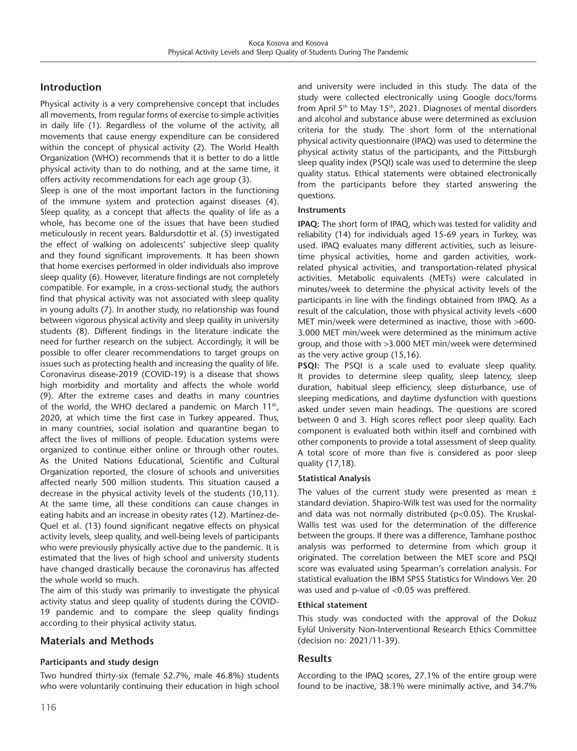# **Introduction**

Physical activity is a very comprehensive concept that includes all movements, from regular forms of exercise to simple activities in daily life (1). Regardless of the volume of the activity, all movements that cause energy expenditure can be considered within the concept of physical activity (2). The World Health Organization (WHO) recommends that it is better to do a little physical activity than to do nothing, and at the same time, it offers activity recommendations for each age group (3).

Sleep is one of the most important factors in the functioning of the immune system and protection against diseases (4). Sleep quality, as a concept that affects the quality of life as a whole, has become one of the issues that have been studied meticulously in recent years. Baldursdottir et al. (5) investigated the effect of walking on adolescents' subjective sleep quality and they found significant improvements. It has been shown that home exercises performed in older individuals also improve sleep quality (6). However, literature findings are not completely compatible. For example, in a cross-sectional study, the authors find that physical activity was not associated with sleep quality in young adults (7). In another study, no relationship was found between vigorous physical activity and sleep quality in university students (8). Different findings in the literature indicate the need for further research on the subject. Accordingly, it will be possible to offer clearer recommendations to target groups on issues such as protecting health and increasing the quality of life. Coronavirus disease-2019 (COVID-19) is a disease that shows high morbidity and mortality and affects the whole world (9). After the extreme cases and deaths in many countries of the world, the WHO declared a pandemic on March  $11<sup>th</sup>$ , 2020, at which time the first case in Turkey appeared. Thus, in many countries, social isolation and quarantine began to affect the lives of millions of people. Education systems were organized to continue either online or through other routes. As the United Nations Educational, Scientific and Cultural Organization reported, the closure of schools and universities affected nearly 500 million students. This situation caused a decrease in the physical activity levels of the students (10,11). At the same time, all these conditions can cause changes in eating habits and an increase in obesity rates (12). Martínez-de-Quel et al. (13) found significant negative effects on physical activity levels, sleep quality, and well-being levels of participants who were previously physically active due to the pandemic. It is estimated that the lives of high school and university students have changed drastically because the coronavirus has affected the whole world so much.

The aim of this study was primarily to investigate the physical activity status and sleep quality of students during the COVID-19 pandemic and to compare the sleep quality findings according to their physical activity status.

# **Materials and Methods**

# **Participants and study design**

Two hundred thirty-six (female 52.7%, male 46.8%) students who were voluntarily continuing their education in high school and university were included in this study. The data of the study were collected electronically using Google docs/forms from April  $5<sup>th</sup>$  to May 15<sup>th</sup>, 2021. Diagnoses of mental disorders and alcohol and substance abuse were determined as exclusion criteria for the study. The short form of the ınternational physical activity questionnaire (IPAQ) was used to determine the physical activity status of the participants, and the Pittsburgh sleep quality index (PSQI) scale was used to determine the sleep quality status. Ethical statements were obtained electronically from the participants before they started answering the questions.

#### **Instruments**

**IPAQ:** The short form of IPAQ, which was tested for validity and reliability (14) for individuals aged 15-69 years in Turkey, was used. IPAQ evaluates many different activities, such as leisuretime physical activities, home and garden activities, workrelated physical activities, and transportation-related physical activities. Metabolic equivalents (METs) were calculated in minutes/week to determine the physical activity levels of the participants in line with the findings obtained from IPAQ. As a result of the calculation, those with physical activity levels <600 MET min/week were determined as inactive, those with >600- 3.000 MET min/week were determined as the minimum active group, and those with >3.000 MET min/week were determined as the very active group (15,16).

**PSQI:** The PSQI is a scale used to evaluate sleep quality. It provides to determine sleep quality, sleep latency, sleep duration, habitual sleep efficiency, sleep disturbance, use of sleeping medications, and daytime dysfunction with questions asked under seven main headings. The questions are scored between 0 and 3. High scores reflect poor sleep quality. Each component is evaluated both within itself and combined with other components to provide a total assessment of sleep quality. A total score of more than five is considered as poor sleep quality (17,18).

# **Statistical Analysis**

The values of the current study were presented as mean  $\pm$ standard deviation. Shapiro-Wilk test was used for the normality and data was not normally distributed (p<0.05). The Kruskal-Wallis test was used for the determination of the difference between the groups. If there was a difference, Tamhane posthoc analysis was performed to determine from which group it originated. The correlation between the MET score and PSQI score was evaluated using Spearman's correlation analysis. For statistical evaluation the IBM SPSS Statistics for Windows Ver. 20 was used and p-value of <0.05 was preffered.

#### **Ethical statement**

This study was conducted with the approval of the Dokuz Eylül University Non-Interventional Research Ethics Committee (decision no: 2021/11-39).

# **Results**

According to the IPAQ scores, 27.1% of the entire group were found to be inactive, 38.1% were minimally active, and 34.7%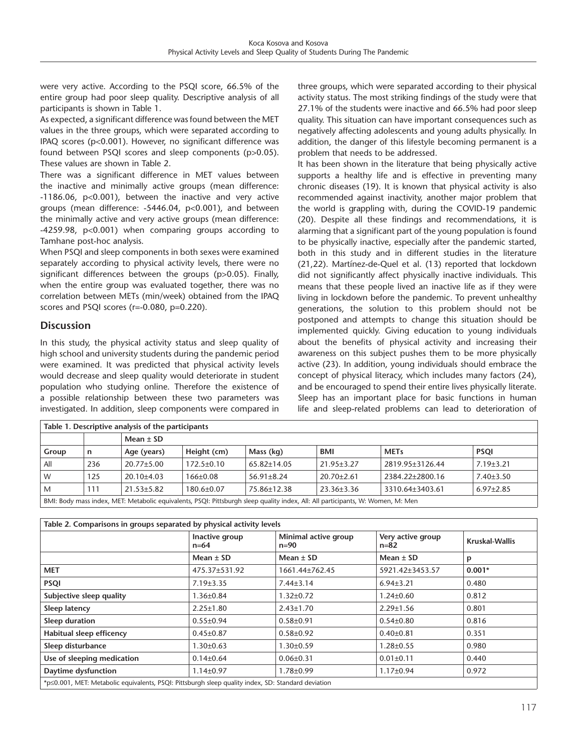were very active. According to the PSQI score, 66.5% of the entire group had poor sleep quality. Descriptive analysis of all participants is shown in Table 1.

As expected, a significant difference was found between the MET values in the three groups, which were separated according to IPAQ scores (p<0.001). However, no significant difference was found between PSQI scores and sleep components (p>0.05). These values are shown in Table 2.

There was a significant difference in MET values between the inactive and minimally active groups (mean difference: -1186.06, p<0.001), between the inactive and very active groups (mean difference: -5446.04, p<0.001), and between the minimally active and very active groups (mean difference: -4259.98, p<0.001) when comparing groups according to Tamhane post-hoc analysis.

When PSQI and sleep components in both sexes were examined separately according to physical activity levels, there were no significant differences between the groups (p>0.05). Finally, when the entire group was evaluated together, there was no correlation between METs (min/week) obtained from the IPAQ scores and PSQI scores (r=-0.080, p=0.220).

# **Discussion**

In this study, the physical activity status and sleep quality of high school and university students during the pandemic period were examined. It was predicted that physical activity levels would decrease and sleep quality would deteriorate in student population who studying online. Therefore the existence of a possible relationship between these two parameters was investigated. In addition, sleep components were compared in three groups, which were separated according to their physical activity status. The most striking findings of the study were that 27.1% of the students were inactive and 66.5% had poor sleep quality. This situation can have important consequences such as negatively affecting adolescents and young adults physically. In addition, the danger of this lifestyle becoming permanent is a problem that needs to be addressed.

It has been shown in the literature that being physically active supports a healthy life and is effective in preventing many chronic diseases (19). It is known that physical activity is also recommended against inactivity, another major problem that the world is grappling with, during the COVID-19 pandemic (20). Despite all these findings and recommendations, it is alarming that a significant part of the young population is found to be physically inactive, especially after the pandemic started, both in this study and in different studies in the literature (21,22). Martínez-de-Quel et al. (13) reported that lockdown did not significantly affect physically inactive individuals. This means that these people lived an inactive life as if they were living in lockdown before the pandemic. To prevent unhealthy generations, the solution to this problem should not be postponed and attempts to change this situation should be implemented quickly. Giving education to young individuals about the benefits of physical activity and increasing their awareness on this subject pushes them to be more physically active (23). In addition, young individuals should embrace the concept of physical literacy, which includes many factors (24), and be encouraged to spend their entire lives physically literate. Sleep has an important place for basic functions in human life and sleep-related problems can lead to deterioration of

| Table 1. Descriptive analysis of the participants                                                                               |     |                  |                  |                   |                  |                 |                 |  |  |  |
|---------------------------------------------------------------------------------------------------------------------------------|-----|------------------|------------------|-------------------|------------------|-----------------|-----------------|--|--|--|
|                                                                                                                                 |     | Mean $\pm$ SD    |                  |                   |                  |                 |                 |  |  |  |
| Group                                                                                                                           | n   | Age (years)      | Height (cm)      | Mass (kg)         | <b>BMI</b>       | <b>METs</b>     | <b>PSQI</b>     |  |  |  |
| All                                                                                                                             | 236 | $20.77 \pm 5.00$ | $172.5 \pm 0.10$ | $65.82{\pm}14.05$ | $21.95 \pm 3.27$ | 2819.95±3126.44 | $7.19 \pm 3.21$ |  |  |  |
| W                                                                                                                               | 125 | $20.10+4.03$     | $166 \pm 0.08$   | $56.91 \pm 8.24$  | $20.70 \pm 2.61$ | 2384.22±2800.16 | $7.40 \pm 3.50$ |  |  |  |
| M                                                                                                                               | 111 | $21.53 \pm 5.82$ | $180.6 \pm 0.07$ | 75.86±12.38       | 23.36±3.36       | 3310.64±3403.61 | $6.97 \pm 2.85$ |  |  |  |
| BMI: Body mass index, MET: Metabolic equivalents, PSQI: Pittsburgh sleep quality index, All: All participants, W: Women, M: Men |     |                  |                  |                   |                  |                 |                 |  |  |  |

| Table 2. Comparisons in groups separated by physical activity levels                               |                          |                                  |                               |                |  |  |  |  |  |
|----------------------------------------------------------------------------------------------------|--------------------------|----------------------------------|-------------------------------|----------------|--|--|--|--|--|
|                                                                                                    | Inactive group<br>$n=64$ | Minimal active group<br>$n = 90$ | Very active group<br>$n = 82$ | Kruskal-Wallis |  |  |  |  |  |
|                                                                                                    | Mean $\pm$ SD            | Mean $\pm$ SD                    | Mean $\pm$ SD                 | p              |  |  |  |  |  |
| <b>MET</b>                                                                                         | 475.37±531.92            | 1661.44±762.45                   | 5921.42±3453.57               | $0.001*$       |  |  |  |  |  |
| <b>PSQI</b>                                                                                        | $7.19 \pm 3.35$          | $7.44\pm3.14$                    | $6.94 \pm 3.21$               | 0.480          |  |  |  |  |  |
| Subjective sleep quality                                                                           | $1.36 \pm 0.84$          | $1.32 \pm 0.72$                  | $1.24 \pm 0.60$               | 0.812          |  |  |  |  |  |
| Sleep latency                                                                                      | $2.25 \pm 1.80$          | $2.43 \pm 1.70$                  | $2.29 \pm 1.56$               | 0.801          |  |  |  |  |  |
| Sleep duration                                                                                     | $0.55 \pm 0.94$          | $0.58 + 0.91$                    | $0.54 \pm 0.80$               | 0.816          |  |  |  |  |  |
| Habitual sleep efficency                                                                           | $0.45 \pm 0.87$          | $0.58 \pm 0.92$                  | $0.40 \pm 0.81$               | 0.351          |  |  |  |  |  |
| Sleep disturbance                                                                                  | $1.30 \pm 0.63$          | $1.30 \pm 0.59$                  | $1.28 \pm 0.55$               | 0.980          |  |  |  |  |  |
| Use of sleeping medication                                                                         | $0.14 \pm 0.64$          | $0.06 \pm 0.31$                  | $0.01 \pm 0.11$               | 0.440          |  |  |  |  |  |
| Daytime dysfunction                                                                                | $1.14 \pm 0.97$          | $1.78 \pm 0.99$                  | $1.17 \pm 0.94$               | 0.972          |  |  |  |  |  |
| *p<0.001, MET: Metabolic equivalents, PSQI: Pittsburgh sleep quality index, SD: Standard deviation |                          |                                  |                               |                |  |  |  |  |  |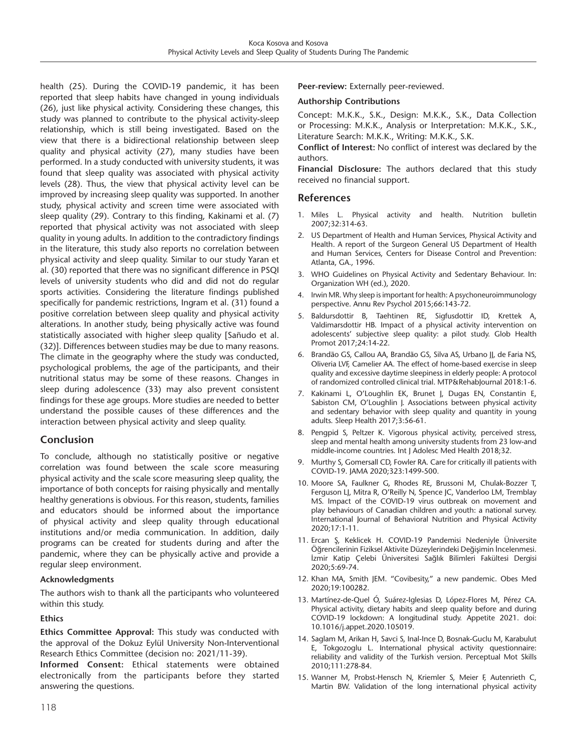health (25). During the COVID-19 pandemic, it has been reported that sleep habits have changed in young individuals (26), just like physical activity. Considering these changes, this study was planned to contribute to the physical activity-sleep relationship, which is still being investigated. Based on the view that there is a bidirectional relationship between sleep quality and physical activity (27), many studies have been performed. In a study conducted with university students, it was found that sleep quality was associated with physical activity levels (28). Thus, the view that physical activity level can be improved by increasing sleep quality was supported. In another study, physical activity and screen time were associated with sleep quality (29). Contrary to this finding, Kakinami et al. (7) reported that physical activity was not associated with sleep quality in young adults. In addition to the contradictory findings in the literature, this study also reports no correlation between physical activity and sleep quality. Similar to our study Yaran et al. (30) reported that there was no significant difference in PSQI levels of university students who did and did not do regular sports activities. Considering the literature findings published specifically for pandemic restrictions, Ingram et al. (31) found a positive correlation between sleep quality and physical activity alterations. In another study, being physically active was found statistically associated with higher sleep quality [Sañudo et al. (32)]. Differences between studies may be due to many reasons. The climate in the geography where the study was conducted, psychological problems, the age of the participants, and their nutritional status may be some of these reasons. Changes in sleep during adolescence (33) may also prevent consistent findings for these age groups. More studies are needed to better understand the possible causes of these differences and the interaction between physical activity and sleep quality.

# **Conclusion**

To conclude, although no statistically positive or negative correlation was found between the scale score measuring physical activity and the scale score measuring sleep quality, the importance of both concepts for raising physically and mentally healthy generations is obvious. For this reason, students, families and educators should be informed about the importance of physical activity and sleep quality through educational institutions and/or media communication. In addition, daily programs can be created for students during and after the pandemic, where they can be physically active and provide a regular sleep environment.

# **Acknowledgments**

The authors wish to thank all the participants who volunteered within this study.

# **Ethics**

**Ethics Committee Approval:** This study was conducted with the approval of the Dokuz Eylül University Non-Interventional Research Ethics Committee (decision no: 2021/11-39).

**Informed Consent:** Ethical statements were obtained electronically from the participants before they started answering the questions.

**Peer-review:** Externally peer-reviewed.

#### **Authorship Contributions**

Concept: M.K.K., S.K., Design: M.K.K., S.K., Data Collection or Processing: M.K.K., Analysis or Interpretation: M.K.K., S.K., Literature Search: M.K.K., Writing: M.K.K., S.K.

**Conflict of Interest:** No conflict of interest was declared by the authors.

**Financial Disclosure:** The authors declared that this study received no financial support.

# **References**

- 1. Miles L. Physical activity and health. Nutrition bulletin 2007;32:314-63.
- 2. US Department of Health and Human Services, Physical Activity and Health. A report of the Surgeon General US Department of Health and Human Services, Centers for Disease Control and Prevention: Atlanta, GA., 1996.
- 3. WHO Guidelines on Physical Activity and Sedentary Behaviour. In: Organization WH (ed.), 2020.
- 4. Irwin MR. Why sleep is important for health: A psychoneuroimmunology perspective. Annu Rev Psychol 2015;66:143-72.
- 5. Baldursdottir B, Taehtinen RE, Sigfusdottir ID, Krettek A, Valdimarsdottir HB. Impact of a physical activity intervention on adolescents' subjective sleep quality: a pilot study. Glob Health Promot 2017;24:14-22.
- 6. Brandão GS, Callou AA, Brandão GS, Silva AS, Urbano JJ, de Faria NS, Oliveria LVF, Camelier AA. The effect of home-based exercise in sleep quality and excessive daytime sleepiness in elderly people: A protocol of randomized controlled clinical trial. MTP&RehabJournal 2018:1-6.
- 7. Kakinami L, O'Loughlin EK, Brunet J, Dugas EN, Constantin E, Sabiston CM, O'Loughlin J. Associations between physical activity and sedentary behavior with sleep quality and quantity in young adults. Sleep Health 2017;3:56-61.
- 8. Pengpid S, Peltzer K. Vigorous physical activity, perceived stress, sleep and mental health among university students from 23 low-and middle-income countries. Int J Adolesc Med Health 2018;32.
- 9. Murthy S, Gomersall CD, Fowler RA. Care for critically ill patients with COVID-19. JAMA 2020;323:1499-500.
- 10. Moore SA, Faulkner G, Rhodes RE, Brussoni M, Chulak-Bozzer T, Ferguson LJ, Mitra R, O'Reilly N, Spence JC, Vanderloo LM, Tremblay MS. Impact of the COVID-19 virus outbreak on movement and play behaviours of Canadian children and youth: a national survey. International Journal of Behavioral Nutrition and Physical Activity 2020;17:1-11.
- 11. Ercan Ş, Keklicek H. COVID-19 Pandemisi Nedeniyle Üniversite Öğrencilerinin Fiziksel Aktivite Düzeylerindeki Değişimin İncelenmesi. İzmir Katip Çelebi Üniversitesi Sağlık Bilimleri Fakültesi Dergisi 2020;5:69-74.
- 12. Khan MA, Smith JEM. "Covibesity," a new pandemic. Obes Med 2020;19:100282.
- 13. Martínez-de-Quel Ó, Suárez-Iglesias D, López-Flores M, Pérez CA. Physical activity, dietary habits and sleep quality before and during COVID-19 lockdown: A longitudinal study. Appetite 2021. doi: 10.1016/j.appet.2020.105019.
- 14. Saglam M, Arikan H, Savci S, Inal-Ince D, Bosnak-Guclu M, Karabulut E, Tokgozoglu L. International physical activity questionnaire: reliability and validity of the Turkish version. Perceptual Mot Skills 2010;111:278-84.
- 15. Wanner M, Probst-Hensch N, Kriemler S, Meier F, Autenrieth C, Martin BW. Validation of the long international physical activity